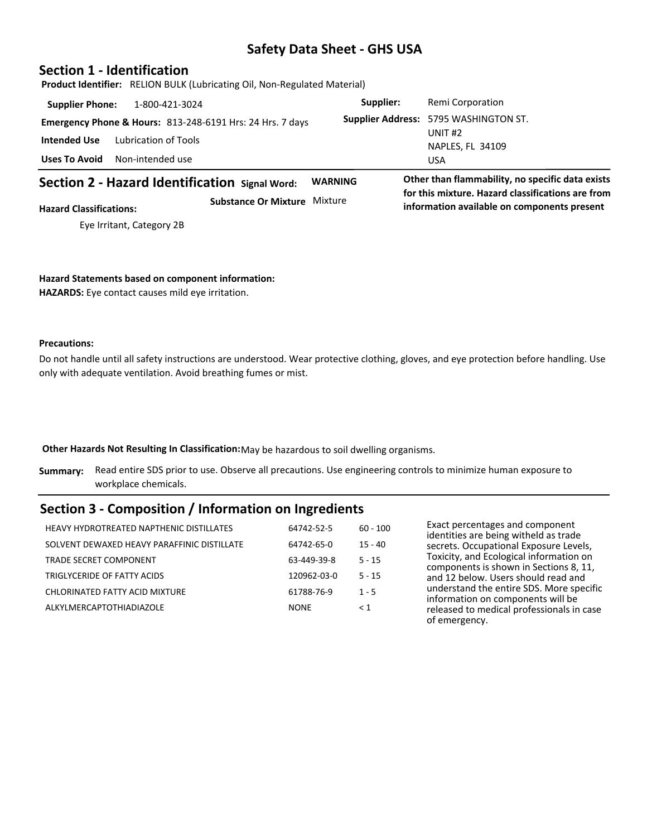### **Section 1 - Identification**

 **Product Identifier:** RELION BULK (Lubricating Oil, Non-Regulated Material)

| <b>Supplier Phone:</b> | 1-800-421-3024                                                       | Supplier: | Remi Corporation                             |
|------------------------|----------------------------------------------------------------------|-----------|----------------------------------------------|
|                        | <b>Emergency Phone &amp; Hours: 813-248-6191 Hrs: 24 Hrs. 7 days</b> |           | <b>Supplier Address: 5795 WASHINGTON ST.</b> |
| Intended Use           | Lubrication of Tools                                                 |           | UNIT $#2$<br>NAPLES, FL 34109                |
| Uses To Avoid          | Non-intended use                                                     |           | <b>USA</b>                                   |

# **Section 2 - Hazard Identification Signal Word: WARNING Other than flammability, no specific data exists**

**for this mixture. Hazard classifications are from information available on components present above threshold percentages.** Eye Irritant, Category 2B **Substance Or Mixture** Mixture **Hazard Classifications:**

### **Hazard Statements based on component information:**

**HAZARDS:** Eye contact causes mild eye irritation.

#### **Precautions:**

Do not handle until all safety instructions are understood. Wear protective clothing, gloves, and eye protection before handling. Use only with adequate ventilation. Avoid breathing fumes or mist.

**Other Hazards Not Resulting In Classification:**May be hazardous to soil dwelling organisms.

**Summary:** Read entire SDS prior to use. Observe all precautions. Use engineering controls to minimize human exposure to workplace chemicals.

# **Section 3 - Composition / Information on Ingredients**

| <b>HEAVY HYDROTREATED NAPTHENIC DISTILLATES</b> | 64742-52-5  | $60 - 100$ |
|-------------------------------------------------|-------------|------------|
| SOLVENT DEWAXED HEAVY PARAFFINIC DISTILLATE     | 64742-65-0  | $15 - 40$  |
| TRADE SECRET COMPONENT                          | 63-449-39-8 | $5 - 15$   |
| TRIGLYCERIDE OF FATTY ACIDS                     | 120962-03-0 | $5 - 15$   |
| CHLORINATED FATTY ACID MIXTURE                  | 61788-76-9  | $1 - 5$    |
| ALKYLMERCAPTOTHIADIAZOLE                        | <b>NONF</b> | < 1        |
|                                                 |             |            |

Exact percentages and component identities are being witheld as trade secrets. Occupational Exposure Levels, Toxicity, and Ecological information on components is shown in Sections 8, 11, and 12 below. Users should read and understand the entire SDS. More specific information on components will be released to medical professionals in case of emergency.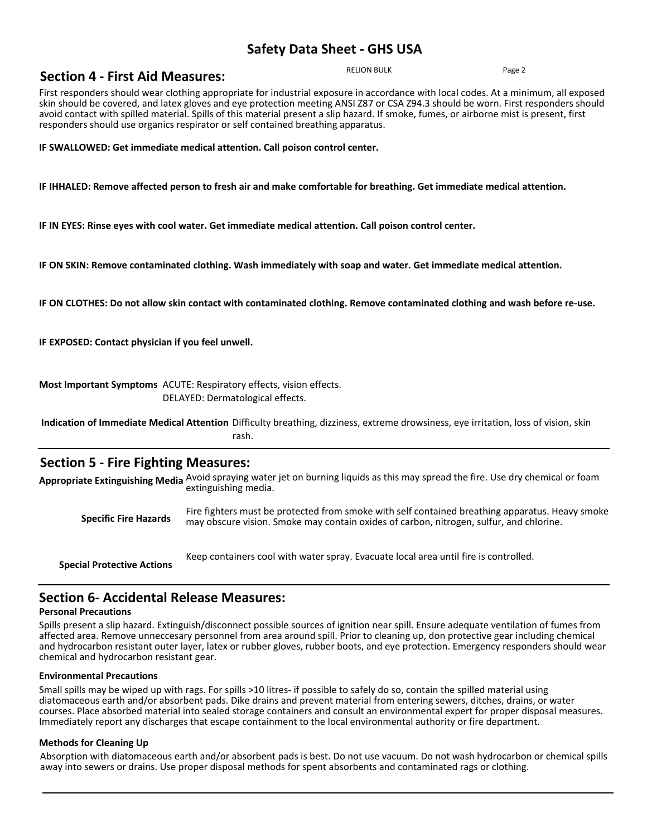RELION BULK Page 2

First responders should wear clothing appropriate for industrial exposure in accordance with local codes. At a minimum, all exposed skin should be covered, and latex gloves and eye protection meeting ANSI Z87 or CSA Z94.3 should be worn. First responders should avoid contact with spilled material. Spills of this material present a slip hazard. If smoke, fumes, or airborne mist is present, first responders should use organics respirator or self contained breathing apparatus.

**IF SWALLOWED: Get immediate medical attention. Call poison control center.**

**IF IHHALED: Remove affected person to fresh air and make comfortable for breathing. Get immediate medical attention.**

**IF IN EYES: Rinse eyes with cool water. Get immediate medical attention. Call poison control center.**

**IF ON SKIN: Remove contaminated clothing. Wash immediately with soap and water. Get immediate medical attention.**

**IF ON CLOTHES: Do not allow skin contact with contaminated clothing. Remove contaminated clothing and wash before re-use.**

**IF EXPOSED: Contact physician if you feel unwell.**

**Section 4 - First Aid Measures:**

**Most Important Symptoms** ACUTE: Respiratory effects, vision effects. DELAYED: Dermatological effects.

**Indication of Immediate Medical Attention** Difficulty breathing, dizziness, extreme drowsiness, eye irritation, loss of vision, skin rash.

### **Section 5 - Fire Fighting Measures:**

**Appropriate Extinguishing Media** Avoid spraying water jet on burning liquids as this may spread the fire. Use dry chemical or foam extinguishing media.

**Specific Fire Hazards** Fire fighters must be protected from smoke with self contained breathing apparatus. Heavy smoke<br>Specific Fire Hazards may obscure vision. Smoke may contain oxides of carbon, pitrogen, sulfur, and ch may obscure vision. Smoke may contain oxides of carbon, nitrogen, sulfur, and chlorine.

**Special Protective Actions** Keep containers cool with water spray. Evacuate local area until fire is controlled.

### **Section 6- Accidental Release Measures:**

#### **Personal Precautions**

Spills present a slip hazard. Extinguish/disconnect possible sources of ignition near spill. Ensure adequate ventilation of fumes from affected area. Remove unneccesary personnel from area around spill. Prior to cleaning up, don protective gear including chemical and hydrocarbon resistant outer layer, latex or rubber gloves, rubber boots, and eye protection. Emergency responders should wear chemical and hydrocarbon resistant gear.

#### **Environmental Precautions**

Small spills may be wiped up with rags. For spills >10 litres- if possible to safely do so, contain the spilled material using diatomaceous earth and/or absorbent pads. Dike drains and prevent material from entering sewers, ditches, drains, or water courses. Place absorbed material into sealed storage containers and consult an environmental expert for proper disposal measures. Immediately report any discharges that escape containment to the local environmental authority or fire department.

#### **Methods for Cleaning Up**

Absorption with diatomaceous earth and/or absorbent pads is best. Do not use vacuum. Do not wash hydrocarbon or chemical spills away into sewers or drains. Use proper disposal methods for spent absorbents and contaminated rags or clothing.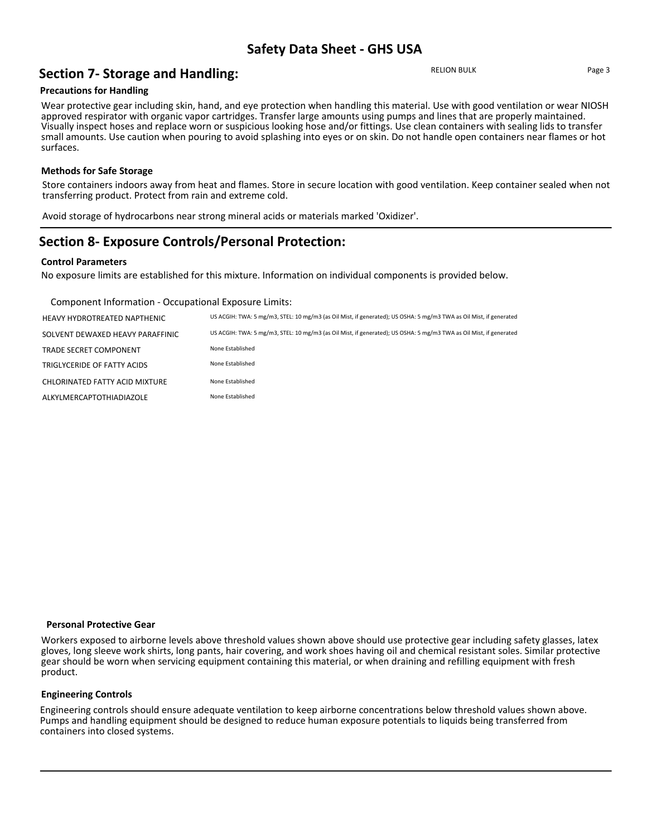# **Section 7- Storage and Handling:**

RELION BULK Page 3

#### **Precautions for Handling**

Wear protective gear including skin, hand, and eye protection when handling this material. Use with good ventilation or wear NIOSH approved respirator with organic vapor cartridges. Transfer large amounts using pumps and lines that are properly maintained. Visually inspect hoses and replace worn or suspicious looking hose and/or fittings. Use clean containers with sealing lids to transfer small amounts. Use caution when pouring to avoid splashing into eyes or on skin. Do not handle open containers near flames or hot surfaces.

#### **Methods for Safe Storage**

Store containers indoors away from heat and flames. Store in secure location with good ventilation. Keep container sealed when not transferring product. Protect from rain and extreme cold.

Avoid storage of hydrocarbons near strong mineral acids or materials marked 'Oxidizer'.

## **Section 8- Exposure Controls/Personal Protection:**

#### **Control Parameters**

No exposure limits are established for this mixture. Information on individual components is provided below.

Component Information - Occupational Exposure Limits:

| HEAVY HYDROTREATED NAPTHENIC     | US ACGIH: TWA: 5 mg/m3, STEL: 10 mg/m3 (as Oil Mist, if generated); US OSHA: 5 mg/m3 TWA as Oil Mist, if generated |
|----------------------------------|--------------------------------------------------------------------------------------------------------------------|
| SOLVENT DEWAXED HEAVY PARAFFINIC | US ACGIH: TWA: 5 mg/m3, STEL: 10 mg/m3 (as Oil Mist, if generated); US OSHA: 5 mg/m3 TWA as Oil Mist, if generated |
| <b>TRADE SECRET COMPONENT</b>    | None Established                                                                                                   |
| TRIGLYCERIDE OF FATTY ACIDS      | None Established                                                                                                   |
| CHLORINATED FATTY ACID MIXTURE   | None Established                                                                                                   |
| ALKYLMERCAPTOTHIADIAZOLE         | None Established                                                                                                   |

#### **Personal Protective Gear**

Workers exposed to airborne levels above threshold values shown above should use protective gear including safety glasses, latex gloves, long sleeve work shirts, long pants, hair covering, and work shoes having oil and chemical resistant soles. Similar protective gear should be worn when servicing equipment containing this material, or when draining and refilling equipment with fresh product.

#### **Engineering Controls**

Engineering controls should ensure adequate ventilation to keep airborne concentrations below threshold values shown above. Pumps and handling equipment should be designed to reduce human exposure potentials to liquids being transferred from containers into closed systems.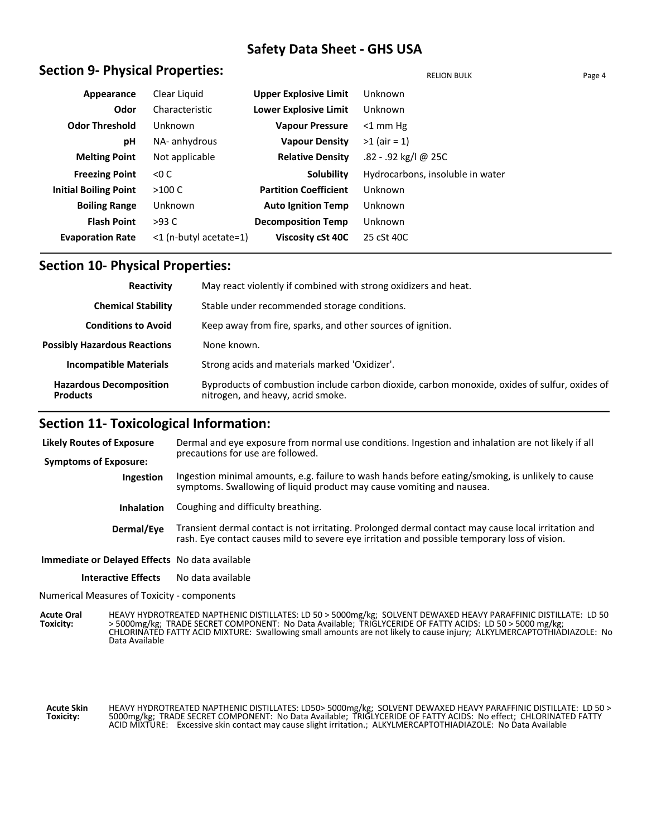## **Section 9- Physical Properties:**  $R = \frac{R_{\text{ELON}}}{R_{\text{ELON}}R_{\text{ELON}}R_{\text{ELON}}R_{\text{ELON}}$

| Appearance                   | Clear Liquid           | <b>Upper Explosive Limit</b> | Unknown                          |
|------------------------------|------------------------|------------------------------|----------------------------------|
| Odor                         | Characteristic         | <b>Lower Explosive Limit</b> | Unknown                          |
| <b>Odor Threshold</b>        | Unknown                | <b>Vapour Pressure</b>       | $<$ 1 mm Hg                      |
| рH                           | NA- anhydrous          | <b>Vapour Density</b>        | $>1$ (air = 1)                   |
| <b>Melting Point</b>         | Not applicable         | <b>Relative Density</b>      | .82 - .92 kg/l @ 25C             |
| <b>Freezing Point</b>        | < 0 C                  | <b>Solubility</b>            | Hydrocarbons, insoluble in water |
| <b>Initial Boiling Point</b> | >100 C                 | <b>Partition Coefficient</b> | Unknown                          |
| <b>Boiling Range</b>         | Unknown                | <b>Auto Ignition Temp</b>    | Unknown                          |
| <b>Flash Point</b>           | $>93$ C                | <b>Decomposition Temp</b>    | Unknown                          |
| <b>Evaporation Rate</b>      | <1 (n-butyl acetate=1) | Viscosity cSt 40C            | 25 cSt 40C                       |

### **Section 10- Physical Properties:**

| Reactivity                                        | May react violently if combined with strong oxidizers and heat.                                                                    |
|---------------------------------------------------|------------------------------------------------------------------------------------------------------------------------------------|
| <b>Chemical Stability</b>                         | Stable under recommended storage conditions.                                                                                       |
| <b>Conditions to Avoid</b>                        | Keep away from fire, sparks, and other sources of ignition.                                                                        |
| <b>Possibly Hazardous Reactions</b>               | None known.                                                                                                                        |
| <b>Incompatible Materials</b>                     | Strong acids and materials marked 'Oxidizer'.                                                                                      |
| <b>Hazardous Decomposition</b><br><b>Products</b> | Byproducts of combustion include carbon dioxide, carbon monoxide, oxides of sulfur, oxides of<br>nitrogen, and heavy, acrid smoke. |

### **Section 11- Toxicological Information:**

| Likely Routes of Exposure                             | Dermal and eye exposure from normal use conditions. Ingestion and inhalation are not likely if all<br>precautions for use are followed.                                                              |  |  |  |
|-------------------------------------------------------|------------------------------------------------------------------------------------------------------------------------------------------------------------------------------------------------------|--|--|--|
| <b>Symptoms of Exposure:</b>                          |                                                                                                                                                                                                      |  |  |  |
| <b>Ingestion</b>                                      | Ingestion minimal amounts, e.g. failure to wash hands before eating/smoking, is unlikely to cause<br>symptoms. Swallowing of liquid product may cause vomiting and nausea.                           |  |  |  |
| <b>Inhalation</b>                                     | Coughing and difficulty breathing.                                                                                                                                                                   |  |  |  |
| Dermal/Eye                                            | Transient dermal contact is not irritating. Prolonged dermal contact may cause local irritation and<br>rash. Eye contact causes mild to severe eye irritation and possible temporary loss of vision. |  |  |  |
| <b>Immediate or Delayed Effects</b> No data available |                                                                                                                                                                                                      |  |  |  |
| Interactive Effects                                   | No data available                                                                                                                                                                                    |  |  |  |

Numerical Measures of Toxicity - components

HEAVY HYDROTREATED NAPTHENIC DISTILLATES: LD 50 > 5000mg/kg; SOLVENT DEWAXED HEAVY PARAFFINIC DISTILLATE: LD 50 > 5000mg/kg; TRADE SECRET COMPONENT: No Data Available; TRIGLYCERIDE OF FATTY ACIDS: LD 50 > 5000 mg/kg; CHLORINATED FATTY ACID MIXTURE: Swallowing small amounts are not likely to cause injury; ALKYLMERCAPTOTHIADIAZOLE: No Data Available **Acute Oral Toxicity:**

**Acute Skin Toxicity:** HEAVY HYDROTREATED NAPTHENIC DISTILLATES: LD50> 5000mg/kg; SOLVENT DEWAXED HEAVY PARAFFINIC DISTILLATE: LD 50 > 5000mg/kg; TRADE SECRET COMPONENT: No Data Available; TRIGLYCERIDE OF FATTY ACIDS: No effect; CHLORINATED FATTY ACID MIXTURE: Excessive skin contact may cause slight irritation.; ALKYLMERCAPTOTHIADIAZOLE: No Data Available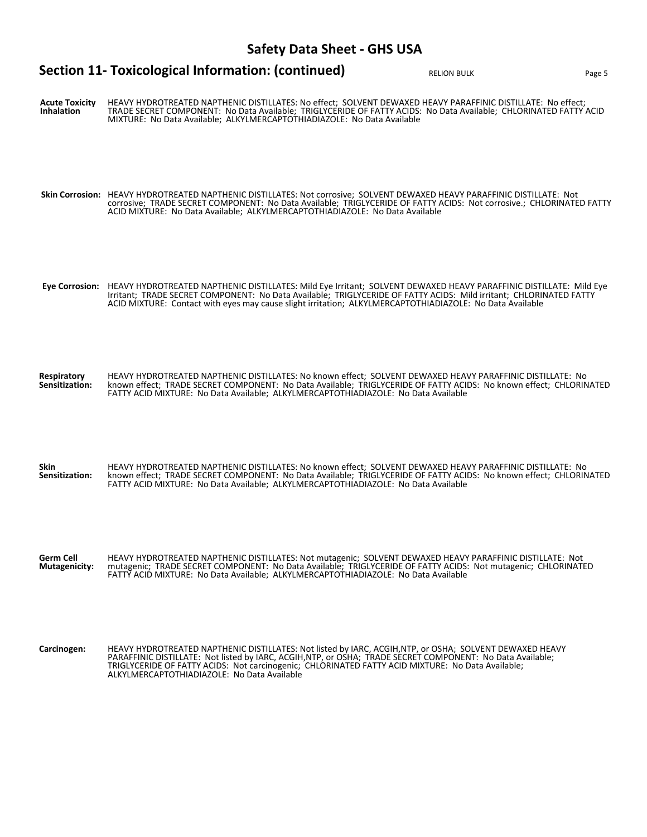# **Section 11- Toxicological Information: (continued)** RELION BULK RELION BULK Page 5

**Acute Toxicity Inhalation** HEAVY HYDROTREATED NAPTHENIC DISTILLATES: No effect; SOLVENT DEWAXED HEAVY PARAFFINIC DISTILLATE: No effect; TRADE SECRET COMPONENT: No Data Available; TRIGLYCERIDE OF FATTY ACIDS: No Data Available; CHLORINATED FATTY ACID MIXTURE: No Data Available; ALKYLMERCAPTOTHIADIAZOLE: No Data Available **Skin Corrosion:** HEAVY HYDROTREATED NAPTHENIC DISTILLATES: Not corrosive; SOLVENT DEWAXED HEAVY PARAFFINIC DISTILLATE: Not corrosive; TRADE SECRET COMPONENT: No Data Available; TRIGLYCERIDE OF FATTY ACIDS: Not corrosive.; CHLORINATED FATTY ACID MIXTURE: No Data Available; ALKYLMERCAPTOTHIADIAZOLE: No Data Available **Eye Corrosion:** HEAVY HYDROTREATED NAPTHENIC DISTILLATES: Mild Eye Irritant; SOLVENT DEWAXED HEAVY PARAFFINIC DISTILLATE: Mild Eye Irritant; TRADE SECRET COMPONENT: No Data Available; TRIGLYCERIDE OF FATTY ACIDS: Mild irritant; CHLORINATED FATTY ACID MIXTURE: Contact with eyes may cause slight irritation; ALKYLMERCAPTOTHIADIAZOLE: No Data Available **Respiratory Sensitization:** HEAVY HYDROTREATED NAPTHENIC DISTILLATES: No known effect; SOLVENT DEWAXED HEAVY PARAFFINIC DISTILLATE: No known effect; TRADE SECRET COMPONENT: No Data Available; TRIGLYCERIDE OF FATTY ACIDS: No known effect; CHLORINATED FATTY ACID MIXTURE: No Data Available; ALKYLMERCAPTOTHIADIAZOLE: No Data Available **Skin Sensitization:** HEAVY HYDROTREATED NAPTHENIC DISTILLATES: No known effect; SOLVENT DEWAXED HEAVY PARAFFINIC DISTILLATE: No known effect; TRADE SECRET COMPONENT: No Data Available; TRIGLYCERIDE OF FATTY ACIDS: No known effect; CHLORINATED FATTY ACID MIXTURE: No Data Available; ALKYLMERCAPTOTHIADIAZOLE: No Data Available **Germ Cell Mutagenicity:** HEAVY HYDROTREATED NAPTHENIC DISTILLATES: Not mutagenic; SOLVENT DEWAXED HEAVY PARAFFINIC DISTILLATE: Not mutagenic; TRADE SECRET COMPONENT: No Data Available; TRIGLYCERIDE OF FATTY ACIDS: Not mutagenic; CHLORINATED FATTY ACID MIXTURE: No Data Available; ALKYLMERCAPTOTHIADIAZOLE: No Data Available Carcinogen: HEAVY HYDROTREATED NAPTHENIC DISTILLATES: Not listed by IARC, ACGIH,NTP, or OSHA; SOLVENT DEWAXED HEAVY<br>PARAFFINIC DISTILLATE: Not listed by IARC, ACGIH,NTP, or OSHA; TRADE SECRET COMPONENT: No Data Available; TRIGLYCERIDE OF FATTY ACIDS: Not carcinogenic; CHLORINATED FATTY ACID MIXTURE: No Data Available; ALKYLMERCAPTOTHIADIAZOLE: No Data Available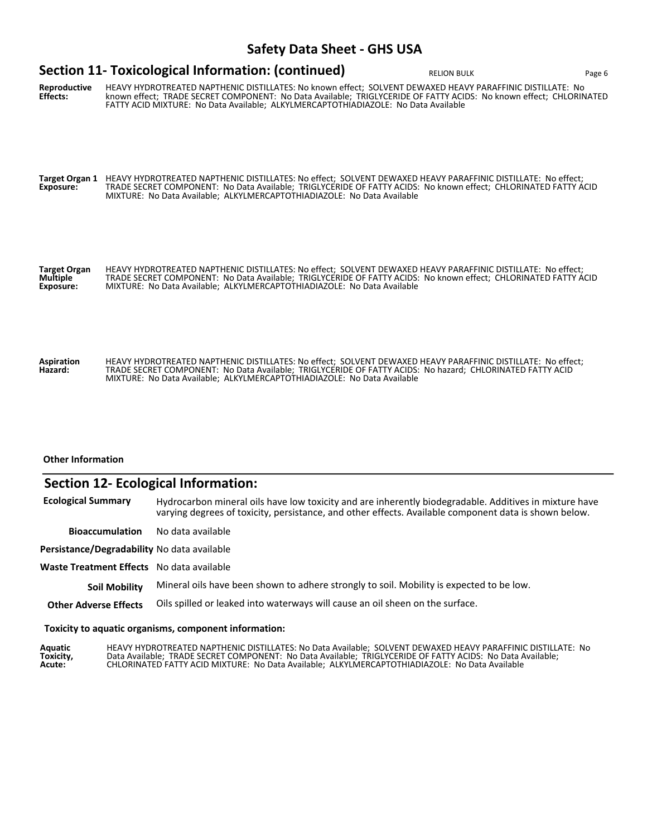## **Reproductive Effects:** HEAVY HYDROTREATED NAPTHENIC DISTILLATES: No known effect; SOLVENT DEWAXED HEAVY PARAFFINIC DISTILLATE: No known effect; TRADE SECRET COMPONENT: No Data Available; TRIGLYCERIDE OF FATTY ACIDS: No known effect; CHLORINATED FATTY ACID MIXTURE: No Data Available; ALKYLMERCAPTOTHIADIAZOLE: No Data Available **Target Organ 1 Exposure:** HEAVY HYDROTREATED NAPTHENIC DISTILLATES: No effect; SOLVENT DEWAXED HEAVY PARAFFINIC DISTILLATE: No effect; TRADE SECRET COMPONENT: No Data Available; TRIGLYCERIDE OF FATTY ACIDS: No known effect; CHLORINATED FATTY ACID MIXTURE: No Data Available; ALKYLMERCAPTOTHIADIAZOLE: No Data Available **Target Organ Multiple Exposure:** HEAVY HYDROTREATED NAPTHENIC DISTILLATES: No effect; SOLVENT DEWAXED HEAVY PARAFFINIC DISTILLATE: No effect; TRADE SECRET COMPONENT: No Data Available; TRIGLYCERIDE OF FATTY ACIDS: No known effect; CHLORINATED FATTY ACID MIXTURE: No Data Available; ALKYLMERCAPTOTHIADIAZOLE: No Data Available **Section 11- Toxicological Information: (continued)** RELION BULK RELION BULK Page 6

**Aspiration Hazard:** HEAVY HYDROTREATED NAPTHENIC DISTILLATES: No effect; SOLVENT DEWAXED HEAVY PARAFFINIC DISTILLATE: No effect; TRADE SECRET COMPONENT: No Data Available; TRIGLYCERIDE OF FATTY ACIDS: No hazard; CHLORINATED FATTY ACID MIXTURE: No Data Available; ALKYLMERCAPTOTHIADIAZOLE: No Data Available

#### **Other Information**

### **Section 12- Ecological Information:**

**Ecological Summary** Hydrocarbon mineral oils have low toxicity and are inherently biodegradable. Additives in mixture have varying degrees of toxicity, persistance, and other effects. Available component data is shown below.

**Bioaccumulation** No data available

**Persistance/Degradability** No data available

**Waste Treatment Effects** No data available

**Soil Mobility** Mineral oils have been shown to adhere strongly to soil. Mobility is expected to be low.

**Other Adverse Effects** Oils spilled or leaked into waterways will cause an oil sheen on the surface.

#### **Toxicity to aquatic organisms, component information:**

**Aquatic Toxicity, Acute:** HEAVY HYDROTREATED NAPTHENIC DISTILLATES: No Data Available; SOLVENT DEWAXED HEAVY PARAFFINIC DISTILLATE: No Data Available; TRADE SECRET COMPONENT: No Data Available; TRIGLYCERIDE OF FATTY ACIDS: No Data Available; CHLORINATED FATTY ACID MIXTURE: No Data Available; ALKYLMERCAPTOTHIADIAZOLE: No Data Available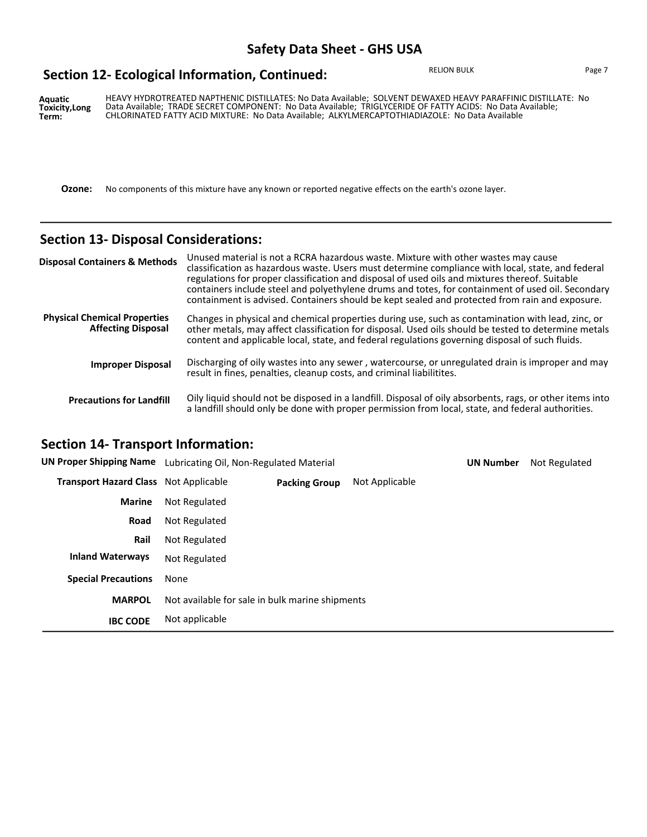## **Section 12- Ecological Information, Continued:**

RELION BULK Page 7

**Aquatic Toxicity,Long Term:** HEAVY HYDROTREATED NAPTHENIC DISTILLATES: No Data Available; SOLVENT DEWAXED HEAVY PARAFFINIC DISTILLATE: No Data Available; TRADE SECRET COMPONENT: No Data Available; TRIGLYCERIDE OF FATTY ACIDS: No Data Available; CHLORINATED FATTY ACID MIXTURE: No Data Available; ALKYLMERCAPTOTHIADIAZOLE: No Data Available

**Ozone:** No components of this mixture have any known or reported negative effects on the earth's ozone layer.

# **Section 13- Disposal Considerations:**

| <b>Disposal Containers &amp; Methods</b>                         | Unused material is not a RCRA hazardous waste. Mixture with other wastes may cause<br>classification as hazardous waste. Users must determine compliance with local, state, and federal<br>regulations for proper classification and disposal of used oils and mixtures thereof. Suitable<br>containers include steel and polyethylene drums and totes, for containment of used oil. Secondary<br>containment is advised. Containers should be kept sealed and protected from rain and exposure. |
|------------------------------------------------------------------|--------------------------------------------------------------------------------------------------------------------------------------------------------------------------------------------------------------------------------------------------------------------------------------------------------------------------------------------------------------------------------------------------------------------------------------------------------------------------------------------------|
| <b>Physical Chemical Properties</b><br><b>Affecting Disposal</b> | Changes in physical and chemical properties during use, such as contamination with lead, zinc, or<br>other metals, may affect classification for disposal. Used oils should be tested to determine metals<br>content and applicable local, state, and federal regulations governing disposal of such fluids.                                                                                                                                                                                     |
| <b>Improper Disposal</b>                                         | Discharging of oily wastes into any sewer, watercourse, or unregulated drain is improper and may<br>result in fines, penalties, cleanup costs, and criminal liabilitites.                                                                                                                                                                                                                                                                                                                        |
| <b>Precautions for Landfill</b>                                  | Oily liquid should not be disposed in a landfill. Disposal of oily absorbents, rags, or other items into<br>a landfill should only be done with proper permission from local, state, and federal authorities.                                                                                                                                                                                                                                                                                    |

### **Section 14- Transport Information:**

| <b>UN Proper Shipping Name</b>               | Lubricating Oil, Non-Regulated Material         |                      | <b>UN Number</b> | Not Regulated |  |
|----------------------------------------------|-------------------------------------------------|----------------------|------------------|---------------|--|
| <b>Transport Hazard Class</b> Not Applicable |                                                 | <b>Packing Group</b> | Not Applicable   |               |  |
| <b>Marine</b>                                | Not Regulated                                   |                      |                  |               |  |
| Road                                         | Not Regulated                                   |                      |                  |               |  |
| Rail                                         | Not Regulated                                   |                      |                  |               |  |
| <b>Inland Waterways</b>                      | Not Regulated                                   |                      |                  |               |  |
| <b>Special Precautions</b>                   | None                                            |                      |                  |               |  |
| <b>MARPOL</b>                                | Not available for sale in bulk marine shipments |                      |                  |               |  |
| <b>IBC CODE</b>                              | Not applicable                                  |                      |                  |               |  |